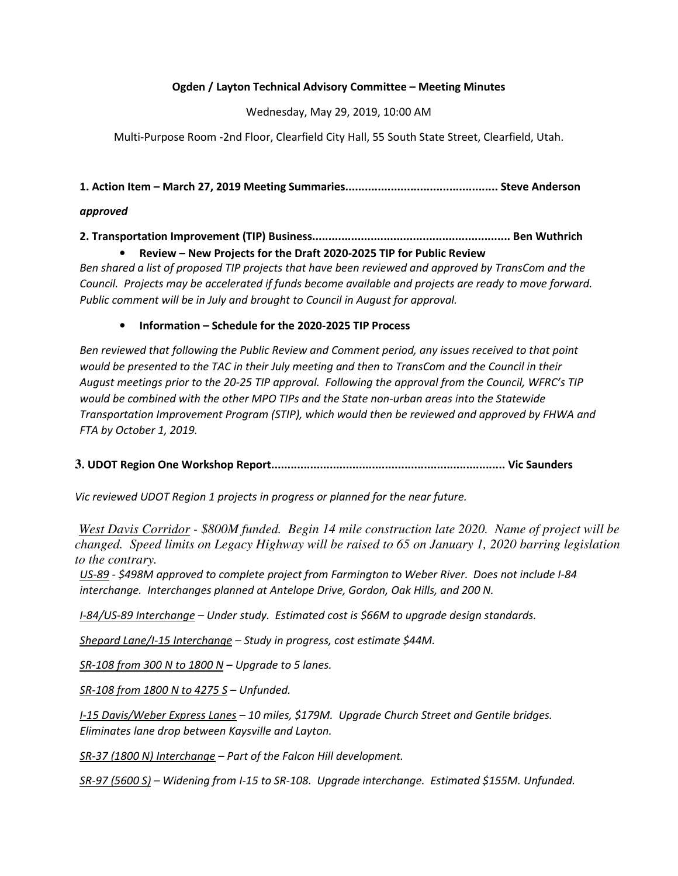### Ogden / Layton Technical Advisory Committee – Meeting Minutes

Wednesday, May 29, 2019, 10:00 AM

Multi-Purpose Room -2nd Floor, Clearfield City Hall, 55 South State Street, Clearfield, Utah.

1. Action Item – March 27, 2019 Meeting Summaries............................................... Steve Anderson

#### approved

2. Transportation Improvement (TIP) Business............................................................. Ben Wuthrich • Review – New Projects for the Draft 2020-2025 TIP for Public Review

Ben shared a list of proposed TIP projects that have been reviewed and approved by TransCom and the Council. Projects may be accelerated if funds become available and projects are ready to move forward. Public comment will be in July and brought to Council in August for approval.

#### • Information – Schedule for the 2020-2025 TIP Process

Ben reviewed that following the Public Review and Comment period, any issues received to that point would be presented to the TAC in their July meeting and then to TransCom and the Council in their August meetings prior to the 20-25 TIP approval. Following the approval from the Council, WFRC's TIP would be combined with the other MPO TIPs and the State non-urban areas into the Statewide Transportation Improvement Program (STIP), which would then be reviewed and approved by FHWA and FTA by October 1, 2019.

### **3**. UDOT Region One Workshop Report........................................................................ Vic Saunders

Vic reviewed UDOT Region 1 projects in progress or planned for the near future.

*West Davis Corridor - \$800M funded. Begin 14 mile construction late 2020. Name of project will be changed. Speed limits on Legacy Highway will be raised to 65 on January 1, 2020 barring legislation to the contrary.* 

US-89 - \$498M approved to complete project from Farmington to Weber River. Does not include I-84 interchange. Interchanges planned at Antelope Drive, Gordon, Oak Hills, and 200 N.

I-84/US-89 Interchange – Under study. Estimated cost is \$66M to upgrade design standards.

Shepard Lane/I-15 Interchange - Study in progress, cost estimate \$44M.

 $SR-108$  from 300 N to 1800 N – Upgrade to 5 lanes.

SR-108 from 1800 N to 4275 S – Unfunded.

I-15 Davis/Weber Express Lanes – 10 miles, \$179M. Upgrade Church Street and Gentile bridges. Eliminates lane drop between Kaysville and Layton.

SR-37 (1800 N) Interchange – Part of the Falcon Hill development.

SR-97 (5600 S) - Widening from I-15 to SR-108. Upgrade interchange. Estimated \$155M. Unfunded.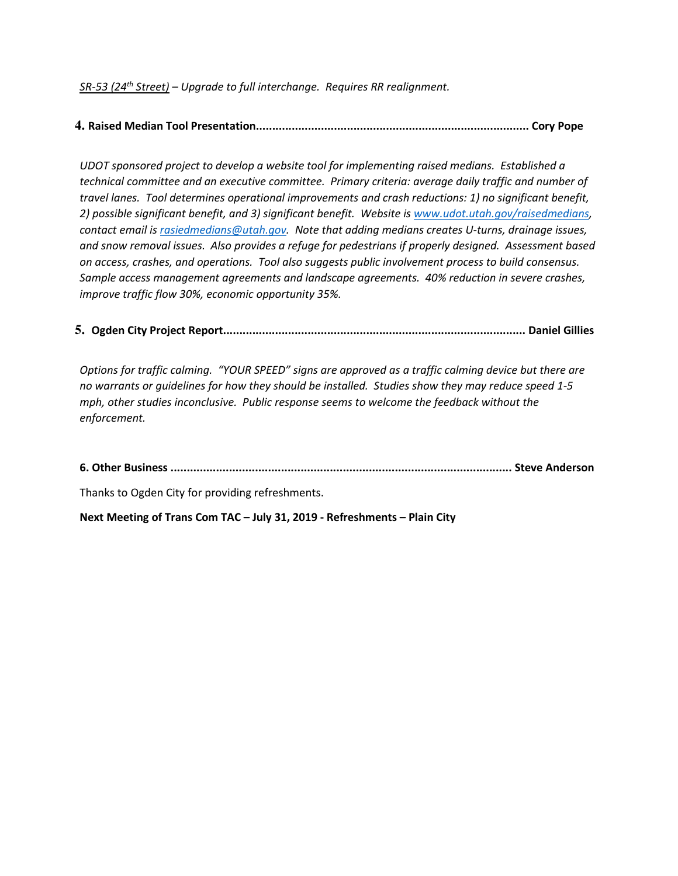SR-53 (24<sup>th</sup> Street) – Upgrade to full interchange. Requires RR realignment.

## **4.** Raised Median Tool Presentation.................................................................................... Cory Pope

UDOT sponsored project to develop a website tool for implementing raised medians. Established a technical committee and an executive committee. Primary criteria: average daily traffic and number of travel lanes. Tool determines operational improvements and crash reductions: 1) no significant benefit, 2) possible significant benefit, and 3) significant benefit. Website is www.udot.utah.gov/raisedmedians, contact email is rasiedmedians@utah.gov. Note that adding medians creates U-turns, drainage issues, and snow removal issues. Also provides a refuge for pedestrians if properly designed. Assessment based on access, crashes, and operations. Tool also suggests public involvement process to build consensus. Sample access management agreements and landscape agreements. 40% reduction in severe crashes, improve traffic flow 30%, economic opportunity 35%.

**5.** Ogden City Project Report............................................................................................. Daniel Gillies

Options for traffic calming. "YOUR SPEED" signs are approved as a traffic calming device but there are no warrants or guidelines for how they should be installed. Studies show they may reduce speed 1-5 mph, other studies inconclusive. Public response seems to welcome the feedback without the enforcement.

6. Other Business ......................................................................................................... Steve Anderson

Thanks to Ogden City for providing refreshments.

Next Meeting of Trans Com TAC – July 31, 2019 - Refreshments – Plain City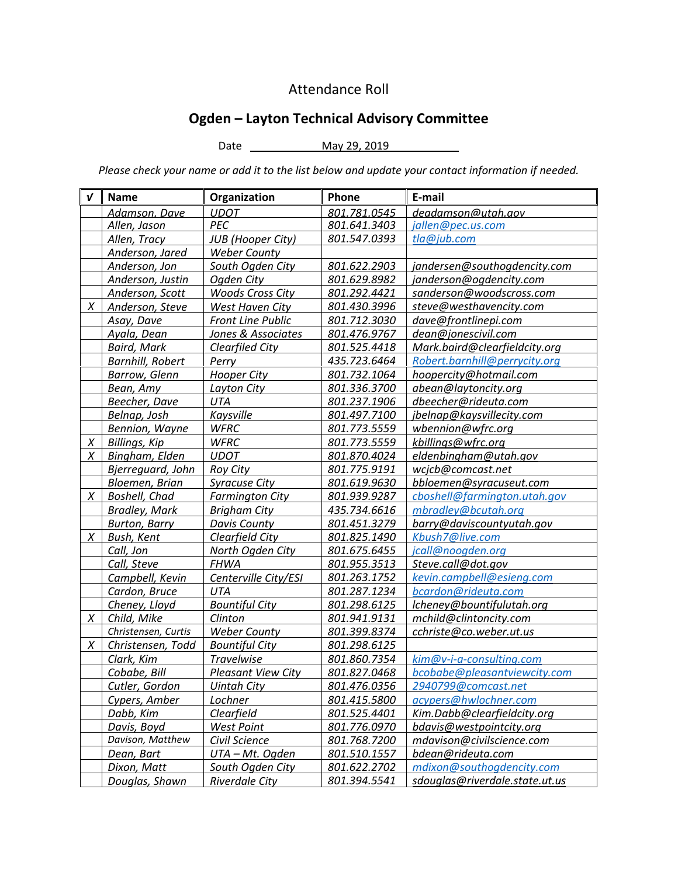# Attendance Roll

# Ogden – Layton Technical Advisory Committee

Date May 29, 2019 \_\_

Please check your name or add it to the list below and update your contact information if needed.

| V | <b>Name</b>             | Organization              | Phone        | E-mail                         |
|---|-------------------------|---------------------------|--------------|--------------------------------|
|   | Adamson, Dave           | <b>UDOT</b>               | 801.781.0545 | deadamson@utah.gov             |
|   | Allen, Jason            | PEC                       | 801.641.3403 | jallen@pec.us.com              |
|   | Allen, Tracy            | <b>JUB</b> (Hooper City)  | 801.547.0393 | tla@jub.com                    |
|   | Anderson, Jared         | <b>Weber County</b>       |              |                                |
|   | Anderson, Jon           | South Ogden City          | 801.622.2903 | jandersen@southogdencity.com   |
|   | Anderson, Justin        | Ogden City                | 801.629.8982 | janderson@ogdencity.com        |
|   | Anderson, Scott         | <b>Woods Cross City</b>   | 801.292.4421 | sanderson@woodscross.com       |
| X | Anderson, Steve         | West Haven City           | 801.430.3996 | steve@westhavencity.com        |
|   | Asay, Dave              | Front Line Public         | 801.712.3030 | dave@frontlinepi.com           |
|   | Ayala, Dean             | Jones & Associates        | 801.476.9767 | dean@jonescivil.com            |
|   | <b>Baird, Mark</b>      | <b>Clearfiled City</b>    | 801.525.4418 | Mark.baird@clearfieldcity.org  |
|   | <b>Barnhill, Robert</b> | Perry                     | 435.723.6464 | Robert.barnhill@perrycity.org  |
|   | Barrow, Glenn           | <b>Hooper City</b>        | 801.732.1064 | hoopercity@hotmail.com         |
|   | Bean, Amy               | Layton City               | 801.336.3700 | abean@laytoncity.org           |
|   | Beecher, Dave           | UTA                       | 801.237.1906 | dbeecher@rideuta.com           |
|   | Belnap, Josh            | Kaysville                 | 801.497.7100 | jbelnap@kaysvillecity.com      |
|   | Bennion, Wayne          | <b>WFRC</b>               | 801.773.5559 | wbennion@wfrc.org              |
| X | Billings, Kip           | <b>WFRC</b>               | 801.773.5559 | kbillings@wfrc.org             |
| X | Bingham, Elden          | <b>UDOT</b>               | 801.870.4024 | eldenbingham@utah.gov          |
|   | Bjerrequard, John       | <b>Roy City</b>           | 801.775.9191 | wcjcb@comcast.net              |
|   | Bloemen, Brian          | <b>Syracuse City</b>      | 801.619.9630 | bbloemen@syracuseut.com        |
| X | Boshell, Chad           | <b>Farmington City</b>    | 801.939.9287 | cboshell@farmington.utah.gov   |
|   | <b>Bradley, Mark</b>    | <b>Brigham City</b>       | 435.734.6616 | mbradley@bcutah.org            |
|   | <b>Burton, Barry</b>    | <b>Davis County</b>       | 801.451.3279 | barry@daviscountyutah.gov      |
| X | Bush, Kent              | Clearfield City           | 801.825.1490 | Kbush7@live.com                |
|   | Call, Jon               | North Ogden City          | 801.675.6455 | jcall@noogden.org              |
|   | Call, Steve             | <b>FHWA</b>               | 801.955.3513 | Steve.call@dot.gov             |
|   | Campbell, Kevin         | Centerville City/ESI      | 801.263.1752 | kevin.campbell@esieng.com      |
|   | Cardon, Bruce           | <b>UTA</b>                | 801.287.1234 | bcardon@rideuta.com            |
|   | Cheney, Lloyd           | <b>Bountiful City</b>     | 801.298.6125 | lcheney@bountifulutah.org      |
| X | Child, Mike             | Clinton                   | 801.941.9131 | mchild@clintoncity.com         |
|   | Christensen, Curtis     | <b>Weber County</b>       | 801.399.8374 | cchriste@co.weber.ut.us        |
| X | Christensen, Todd       | <b>Bountiful City</b>     | 801.298.6125 |                                |
|   | Clark, Kim              | <b>Travelwise</b>         | 801.860.7354 | kim@v-i-a-consulting.com       |
|   | Cobabe, Bill            | <b>Pleasant View City</b> | 801.827.0468 | bcobabe@pleasantviewcity.com   |
|   | Cutler, Gordon          | <b>Uintah City</b>        | 801.476.0356 | 2940799@comcast.net            |
|   | Cypers, Amber           | Lochner                   | 801.415.5800 | acypers@hwlochner.com          |
|   | Dabb, Kim               | <b>Clearfield</b>         | 801.525.4401 | Kim.Dabb@clearfieldcity.org    |
|   | Davis, Boyd             | <b>West Point</b>         | 801.776.0970 | bdavis@westpointcity.org       |
|   | Davison, Matthew        | Civil Science             | 801.768.7200 | mdavison@civilscience.com      |
|   | Dean, Bart              | UTA - Mt. Ogden           | 801.510.1557 | bdean@rideuta.com              |
|   | Dixon, Matt             | South Ogden City          | 801.622.2702 | mdixon@southogdencity.com      |
|   | Douglas, Shawn          | <b>Riverdale City</b>     | 801.394.5541 | sdouglas@riverdale.state.ut.us |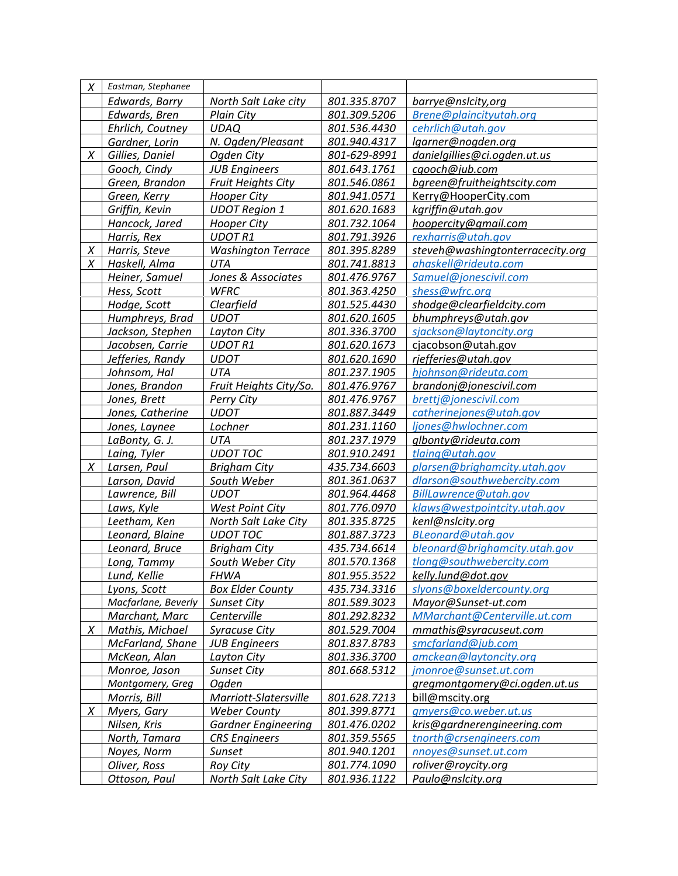| Χ      | Eastman, Stephanee  |                            |              |                                  |
|--------|---------------------|----------------------------|--------------|----------------------------------|
|        | Edwards, Barry      | North Salt Lake city       | 801.335.8707 | barrye@nslcity,org               |
|        | Edwards, Bren       | <b>Plain City</b>          | 801.309.5206 | Brene@plaincityutah.org          |
|        | Ehrlich, Coutney    | <b>UDAQ</b>                | 801.536.4430 | cehrlich@utah.gov                |
|        | Gardner, Lorin      | N. Ogden/Pleasant          | 801.940.4317 | lgarner@nogden.org               |
| X      | Gillies, Daniel     | Ogden City                 | 801-629-8991 | danielgillies@ci.ogden.ut.us     |
|        | Gooch, Cindy        | <b>JUB Engineers</b>       | 801.643.1761 | cgooch@jub.com                   |
|        | Green, Brandon      | <b>Fruit Heights City</b>  | 801.546.0861 | bgreen@fruitheightscity.com      |
|        | Green, Kerry        | <b>Hooper City</b>         | 801.941.0571 | Kerry@HooperCity.com             |
|        | Griffin, Kevin      | <b>UDOT Region 1</b>       | 801.620.1683 | kgriffin@utah.gov                |
|        | Hancock, Jared      | <b>Hooper City</b>         | 801.732.1064 | hoopercity@gmail.com             |
|        | Harris, Rex         | <b>UDOT R1</b>             | 801.791.3926 | rexharris@utah.gov               |
| $\chi$ | Harris, Steve       | <b>Washington Terrace</b>  | 801.395.8289 | steveh@washingtonterracecity.org |
| X      | Haskell, Alma       | UTA                        | 801.741.8813 | ahaskell@rideuta.com             |
|        | Heiner, Samuel      | Jones & Associates         | 801.476.9767 | Samuel@jonescivil.com            |
|        | Hess, Scott         | <b>WFRC</b>                | 801.363.4250 | shess@wfrc.org                   |
|        | Hodge, Scott        | Clearfield                 | 801.525.4430 | shodge@clearfieldcity.com        |
|        | Humphreys, Brad     | <b>UDOT</b>                | 801.620.1605 | bhumphreys@utah.gov              |
|        | Jackson, Stephen    | Layton City                | 801.336.3700 | sjackson@laytoncity.org          |
|        | Jacobsen, Carrie    | <b>UDOT R1</b>             | 801.620.1673 | cjacobson@utah.gov               |
|        | Jefferies, Randy    | <b>UDOT</b>                | 801.620.1690 | rjefferies@utah.gov              |
|        | Johnsom, Hal        | <b>UTA</b>                 | 801.237.1905 | hjohnson@rideuta.com             |
|        | Jones, Brandon      | Fruit Heights City/So.     | 801.476.9767 | brandonj@jonescivil.com          |
|        | Jones, Brett        | Perry City                 | 801.476.9767 | brettj@jonescivil.com            |
|        | Jones, Catherine    | <b>UDOT</b>                | 801.887.3449 | catherinejones@utah.gov          |
|        | Jones, Laynee       | Lochner                    | 801.231.1160 | ljones@hwlochner.com             |
|        | LaBonty, G. J.      | <b>UTA</b>                 | 801.237.1979 | glbonty@rideuta.com              |
|        | Laing, Tyler        | <b>UDOT TOC</b>            | 801.910.2491 | tlaing@utah.gov                  |
| X      | Larsen, Paul        | <b>Brigham City</b>        | 435.734.6603 | plarsen@brighamcity.utah.gov     |
|        | Larson, David       | South Weber                | 801.361.0637 | dlarson@southwebercity.com       |
|        | Lawrence, Bill      | <b>UDOT</b>                | 801.964.4468 | BillLawrence@utah.gov            |
|        | Laws, Kyle          | <b>West Point City</b>     | 801.776.0970 | klaws@westpointcity.utah.gov     |
|        | Leetham, Ken        | North Salt Lake City       | 801.335.8725 | kenl@nslcity.org                 |
|        | Leonard, Blaine     | <b>UDOT TOC</b>            | 801.887.3723 | BLeonard@utah.gov                |
|        | Leonard, Bruce      | <b>Brigham City</b>        | 435.734.6614 | bleonard@brighamcity.utah.gov    |
|        | Long, Tammy         | South Weber City           | 801.570.1368 | tlong@southwebercity.com         |
|        | Lund, Kellie        | FHWA                       | 801.955.3522 | kelly.lund@dot.gov               |
|        | Lyons, Scott        | <b>Box Elder County</b>    | 435.734.3316 | slyons@boxeldercounty.org        |
|        | Macfarlane, Beverly | <b>Sunset City</b>         | 801.589.3023 | Mayor@Sunset-ut.com              |
|        | Marchant, Marc      | Centerville                | 801.292.8232 | MMarchant@Centerville.ut.com     |
| X      | Mathis, Michael     | <b>Syracuse City</b>       | 801.529.7004 | mmathis@syracuseut.com           |
|        | McFarland, Shane    | <b>JUB Engineers</b>       | 801.837.8783 | smcfarland@jub.com               |
|        | McKean, Alan        | Layton City                | 801.336.3700 | amckean@laytoncity.org           |
|        | Monroe, Jason       | <b>Sunset City</b>         | 801.668.5312 | jmonroe@sunset.ut.com            |
|        | Montgomery, Greg    | Ogden                      |              | gregmontgomery@ci.ogden.ut.us    |
|        | Morris, Bill        | Marriott-Slatersville      | 801.628.7213 | bill@mscity.org                  |
| Χ      | Myers, Gary         | <b>Weber County</b>        | 801.399.8771 | gmyers@co.weber.ut.us            |
|        | Nilsen, Kris        | <b>Gardner Engineering</b> | 801.476.0202 | kris@gardnerengineering.com      |
|        | North, Tamara       | <b>CRS</b> Engineers       | 801.359.5565 | tnorth@crsengineers.com          |
|        | Noyes, Norm         | Sunset                     | 801.940.1201 | nnoyes@sunset.ut.com             |
|        | Oliver, Ross        | <b>Roy City</b>            | 801.774.1090 | roliver@roycity.org              |
|        | Ottoson, Paul       | North Salt Lake City       | 801.936.1122 | Paulo@nslcity.org                |